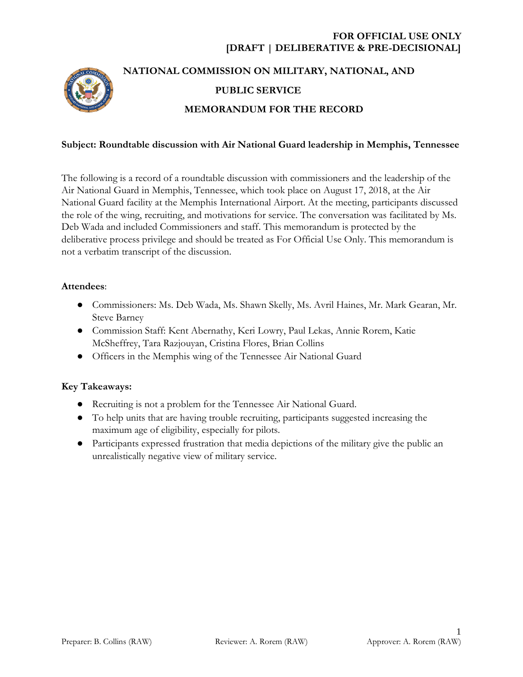# **FOR OFFICIAL USE ONLY [DRAFT | DELIBERATIVE & PRE-DECISIONAL]**



# **NATIONAL COMMISSION ON MILITARY, NATIONAL, AND PUBLIC SERVICE MEMORANDUM FOR THE RECORD**

#### **Subject: Roundtable discussion with Air National Guard leadership in Memphis, Tennessee**

The following is a record of a roundtable discussion with commissioners and the leadership of the Air National Guard in Memphis, Tennessee, which took place on August 17, 2018, at the Air National Guard facility at the Memphis International Airport. At the meeting, participants discussed the role of the wing, recruiting, and motivations for service. The conversation was facilitated by Ms. Deb Wada and included Commissioners and staff. This memorandum is protected by the deliberative process privilege and should be treated as For Official Use Only. This memorandum is not a verbatim transcript of the discussion.

#### **Attendees**:

- Commissioners: Ms. Deb Wada, Ms. Shawn Skelly, Ms. Avril Haines, Mr. Mark Gearan, Mr. Steve Barney
- Commission Staff: Kent Abernathy, Keri Lowry, Paul Lekas, Annie Rorem, Katie McSheffrey, Tara Razjouyan, Cristina Flores, Brian Collins
- Officers in the Memphis wing of the Tennessee Air National Guard

#### **Key Takeaways:**

- Recruiting is not a problem for the Tennessee Air National Guard.
- To help units that are having trouble recruiting, participants suggested increasing the maximum age of eligibility, especially for pilots.
- Participants expressed frustration that media depictions of the military give the public an unrealistically negative view of military service.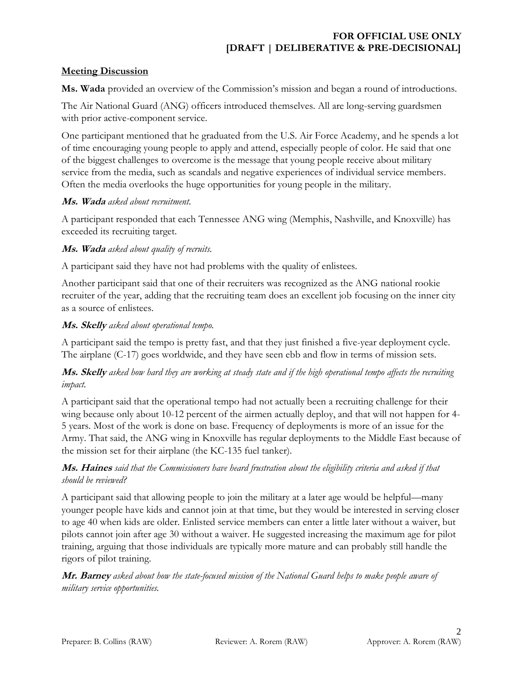# **FOR OFFICIAL USE ONLY [DRAFT | DELIBERATIVE & PRE-DECISIONAL]**

### **Meeting Discussion**

**Ms. Wada** provided an overview of the Commission's mission and began a round of introductions.

The Air National Guard (ANG) officers introduced themselves. All are long-serving guardsmen with prior active-component service.

One participant mentioned that he graduated from the U.S. Air Force Academy, and he spends a lot of time encouraging young people to apply and attend, especially people of color. He said that one of the biggest challenges to overcome is the message that young people receive about military service from the media, such as scandals and negative experiences of individual service members. Often the media overlooks the huge opportunities for young people in the military.

#### **Ms. Wada** *asked about recruitment.*

A participant responded that each Tennessee ANG wing (Memphis, Nashville, and Knoxville) has exceeded its recruiting target.

#### **Ms. Wada** *asked about quality of recruits.*

A participant said they have not had problems with the quality of enlistees.

Another participant said that one of their recruiters was recognized as the ANG national rookie recruiter of the year, adding that the recruiting team does an excellent job focusing on the inner city as a source of enlistees.

#### **Ms. Skelly** *asked about operational tempo.*

A participant said the tempo is pretty fast, and that they just finished a five-year deployment cycle. The airplane (C-17) goes worldwide, and they have seen ebb and flow in terms of mission sets.

## **Ms. Skelly** *asked how hard they are working at steady state and if the high operational tempo affects the recruiting impact.*

A participant said that the operational tempo had not actually been a recruiting challenge for their wing because only about 10-12 percent of the airmen actually deploy, and that will not happen for 4- 5 years. Most of the work is done on base. Frequency of deployments is more of an issue for the Army. That said, the ANG wing in Knoxville has regular deployments to the Middle East because of the mission set for their airplane (the KC-135 fuel tanker).

## **Ms. Haines** *said that the Commissioners have heard frustration about the eligibility criteria and asked if that should be reviewed?*

A participant said that allowing people to join the military at a later age would be helpful—many younger people have kids and cannot join at that time, but they would be interested in serving closer to age 40 when kids are older. Enlisted service members can enter a little later without a waiver, but pilots cannot join after age 30 without a waiver. He suggested increasing the maximum age for pilot training, arguing that those individuals are typically more mature and can probably still handle the rigors of pilot training.

**Mr. Barney** *asked about how the state-focused mission of the National Guard helps to make people aware of military service opportunities.*